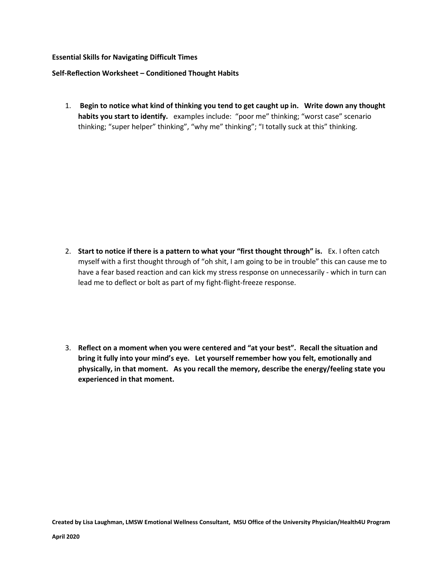## **Essential Skills for Navigating Difficult Times**

## **Self-Reflection Worksheet – Conditioned Thought Habits**

1. **Begin to notice what kind of thinking you tend to get caught up in. Write down any thought habits you start to identify.** examples include: "poor me" thinking; "worst case" scenario thinking; "super helper" thinking", "why me" thinking"; "I totally suck at this" thinking.

- 2. **Start to notice if there is a pattern to what your "first thought through" is.** Ex. I often catch myself with a first thought through of "oh shit, I am going to be in trouble" this can cause me to have a fear based reaction and can kick my stress response on unnecessarily - which in turn can lead me to deflect or bolt as part of my fight-flight-freeze response.
- 3. **Reflect on a moment when you were centered and "at your best". Recall the situation and bring it fully into your mind's eye. Let yourself remember how you felt, emotionally and physically, in that moment. As you recall the memory, describe the energy/feeling state you experienced in that moment.**